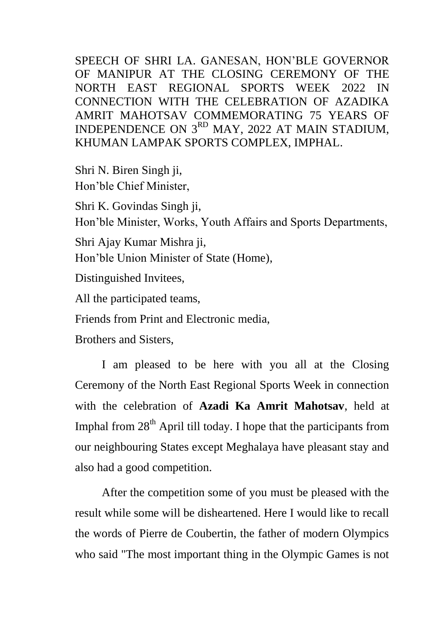SPEECH OF SHRI LA. GANESAN, HON'BLE GOVERNOR OF MANIPUR AT THE CLOSING CEREMONY OF THE NORTH EAST REGIONAL SPORTS WEEK 2022 IN CONNECTION WITH THE CELEBRATION OF AZADIKA AMRIT MAHOTSAV COMMEMORATING 75 YEARS OF INDEPENDENCE ON 3<sup>RD</sup> MAY, 2022 AT MAIN STADIUM, KHUMAN LAMPAK SPORTS COMPLEX, IMPHAL.

Shri N. Biren Singh ji, Hon'ble Chief Minister,

Shri K. Govindas Singh ji,

Hon'ble Minister, Works, Youth Affairs and Sports Departments,

Shri Ajay Kumar Mishra ji,

Hon'ble Union Minister of State (Home),

Distinguished Invitees,

All the participated teams,

Friends from Print and Electronic media,

Brothers and Sisters,

I am pleased to be here with you all at the Closing Ceremony of the North East Regional Sports Week in connection with the celebration of **Azadi Ka Amrit Mahotsav**, held at Imphal from  $28<sup>th</sup>$  April till today. I hope that the participants from our neighbouring States except Meghalaya have pleasant stay and also had a good competition.

After the competition some of you must be pleased with the result while some will be disheartened. Here I would like to recall the words of Pierre de Coubertin, the father of modern Olympics who said "The most important thing in the Olympic Games is not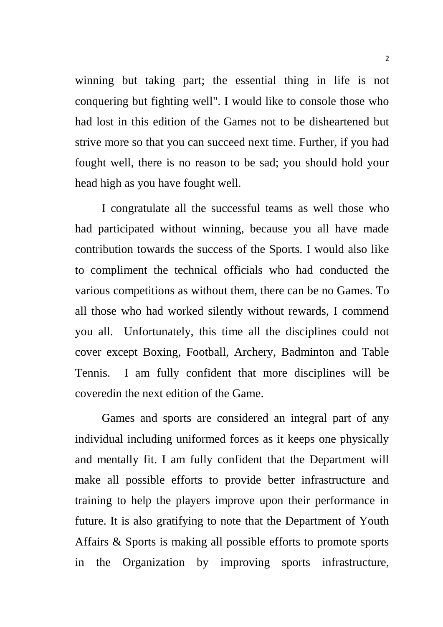winning but taking part; the essential thing in life is not conquering but fighting well". I would like to console those who had lost in this edition of the Games not to be disheartened but strive more so that you can succeed next time. Further, if you had fought well, there is no reason to be sad; you should hold your head high as you have fought well.

I congratulate all the successful teams as well those who had participated without winning, because you all have made contribution towards the success of the Sports. I would also like to compliment the technical officials who had conducted the various competitions as without them, there can be no Games. To all those who had worked silently without rewards, I commend you all. Unfortunately, this time all the disciplines could not cover except Boxing, Football, Archery, Badminton and Table Tennis. I am fully confident that more disciplines will be coveredin the next edition of the Game.

Games and sports are considered an integral part of any individual including uniformed forces as it keeps one physically and mentally fit. I am fully confident that the Department will make all possible efforts to provide better infrastructure and training to help the players improve upon their performance in future. It is also gratifying to note that the Department of Youth Affairs & Sports is making all possible efforts to promote sports in the Organization by improving sports infrastructure,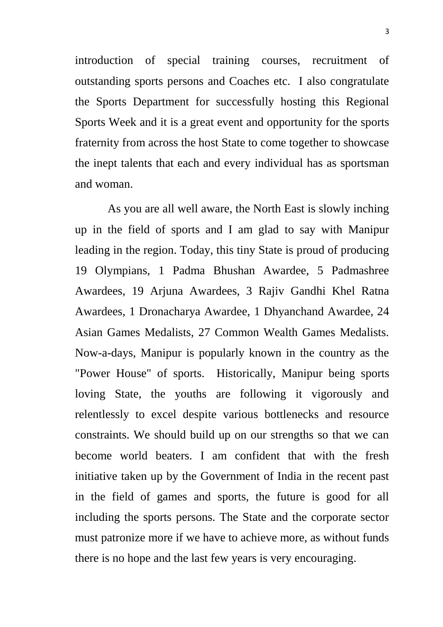introduction of special training courses, recruitment of outstanding sports persons and Coaches etc. I also congratulate the Sports Department for successfully hosting this Regional Sports Week and it is a great event and opportunity for the sports fraternity from across the host State to come together to showcase the inept talents that each and every individual has as sportsman and woman.

 As you are all well aware, the North East is slowly inching up in the field of sports and I am glad to say with Manipur leading in the region. Today, this tiny State is proud of producing 19 Olympians, 1 Padma Bhushan Awardee, 5 Padmashree Awardees, 19 Arjuna Awardees, 3 Rajiv Gandhi Khel Ratna Awardees, 1 Dronacharya Awardee, 1 Dhyanchand Awardee, 24 Asian Games Medalists, 27 Common Wealth Games Medalists. Now-a-days, Manipur is popularly known in the country as the "Power House" of sports. Historically, Manipur being sports loving State, the youths are following it vigorously and relentlessly to excel despite various bottlenecks and resource constraints. We should build up on our strengths so that we can become world beaters. I am confident that with the fresh initiative taken up by the Government of India in the recent past in the field of games and sports, the future is good for all including the sports persons. The State and the corporate sector must patronize more if we have to achieve more, as without funds there is no hope and the last few years is very encouraging.